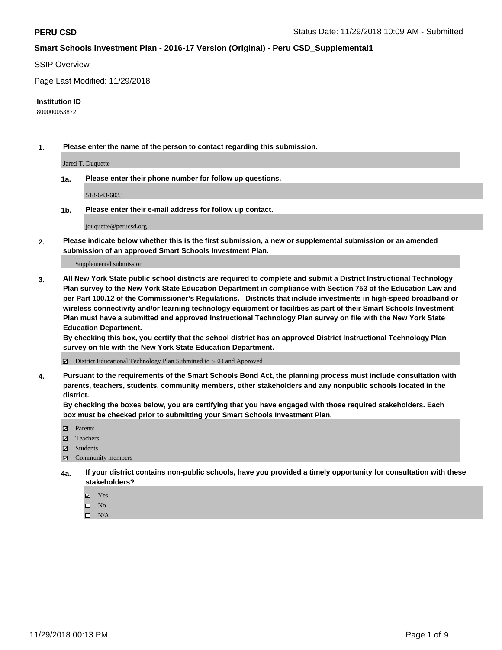## SSIP Overview

Page Last Modified: 11/29/2018

#### **Institution ID**

800000053872

**1. Please enter the name of the person to contact regarding this submission.**

Jared T. Duquette

**1a. Please enter their phone number for follow up questions.**

518-643-6033

**1b. Please enter their e-mail address for follow up contact.**

jduquette@perucsd.org

**2. Please indicate below whether this is the first submission, a new or supplemental submission or an amended submission of an approved Smart Schools Investment Plan.**

Supplemental submission

**3. All New York State public school districts are required to complete and submit a District Instructional Technology Plan survey to the New York State Education Department in compliance with Section 753 of the Education Law and per Part 100.12 of the Commissioner's Regulations. Districts that include investments in high-speed broadband or wireless connectivity and/or learning technology equipment or facilities as part of their Smart Schools Investment Plan must have a submitted and approved Instructional Technology Plan survey on file with the New York State Education Department.** 

**By checking this box, you certify that the school district has an approved District Instructional Technology Plan survey on file with the New York State Education Department.**

District Educational Technology Plan Submitted to SED and Approved

**4. Pursuant to the requirements of the Smart Schools Bond Act, the planning process must include consultation with parents, teachers, students, community members, other stakeholders and any nonpublic schools located in the district.** 

**By checking the boxes below, you are certifying that you have engaged with those required stakeholders. Each box must be checked prior to submitting your Smart Schools Investment Plan.**

- **□** Parents
- Teachers
- Students
- $\boxtimes$  Community members
- **4a. If your district contains non-public schools, have you provided a timely opportunity for consultation with these stakeholders?**
	- Yes
	- $\qquad \qquad$  No
	- $\square$  N/A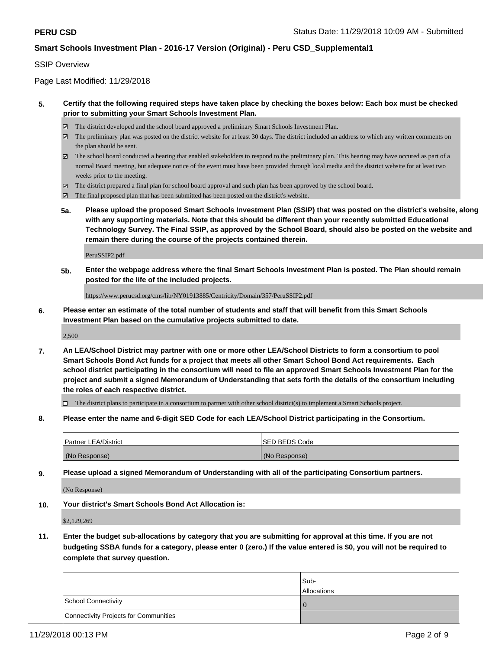## SSIP Overview

Page Last Modified: 11/29/2018

## **5. Certify that the following required steps have taken place by checking the boxes below: Each box must be checked prior to submitting your Smart Schools Investment Plan.**

- The district developed and the school board approved a preliminary Smart Schools Investment Plan.
- $\boxtimes$  The preliminary plan was posted on the district website for at least 30 days. The district included an address to which any written comments on the plan should be sent.
- $\boxtimes$  The school board conducted a hearing that enabled stakeholders to respond to the preliminary plan. This hearing may have occured as part of a normal Board meeting, but adequate notice of the event must have been provided through local media and the district website for at least two weeks prior to the meeting.
- The district prepared a final plan for school board approval and such plan has been approved by the school board.
- $\boxtimes$  The final proposed plan that has been submitted has been posted on the district's website.
- **5a. Please upload the proposed Smart Schools Investment Plan (SSIP) that was posted on the district's website, along with any supporting materials. Note that this should be different than your recently submitted Educational Technology Survey. The Final SSIP, as approved by the School Board, should also be posted on the website and remain there during the course of the projects contained therein.**

PeruSSIP2.pdf

**5b. Enter the webpage address where the final Smart Schools Investment Plan is posted. The Plan should remain posted for the life of the included projects.**

https://www.perucsd.org/cms/lib/NY01913885/Centricity/Domain/357/PeruSSIP2.pdf

**6. Please enter an estimate of the total number of students and staff that will benefit from this Smart Schools Investment Plan based on the cumulative projects submitted to date.**

2,500

**7. An LEA/School District may partner with one or more other LEA/School Districts to form a consortium to pool Smart Schools Bond Act funds for a project that meets all other Smart School Bond Act requirements. Each school district participating in the consortium will need to file an approved Smart Schools Investment Plan for the project and submit a signed Memorandum of Understanding that sets forth the details of the consortium including the roles of each respective district.**

 $\Box$  The district plans to participate in a consortium to partner with other school district(s) to implement a Smart Schools project.

**8. Please enter the name and 6-digit SED Code for each LEA/School District participating in the Consortium.**

| <b>Partner LEA/District</b> | <b>ISED BEDS Code</b> |
|-----------------------------|-----------------------|
| (No Response)               | (No Response)         |

**9. Please upload a signed Memorandum of Understanding with all of the participating Consortium partners.**

(No Response)

**10. Your district's Smart Schools Bond Act Allocation is:**

\$2,129,269

**11. Enter the budget sub-allocations by category that you are submitting for approval at this time. If you are not budgeting SSBA funds for a category, please enter 0 (zero.) If the value entered is \$0, you will not be required to complete that survey question.**

|                                              | Sub-<br><b>Allocations</b> |
|----------------------------------------------|----------------------------|
| <b>School Connectivity</b>                   |                            |
| <b>Connectivity Projects for Communities</b> |                            |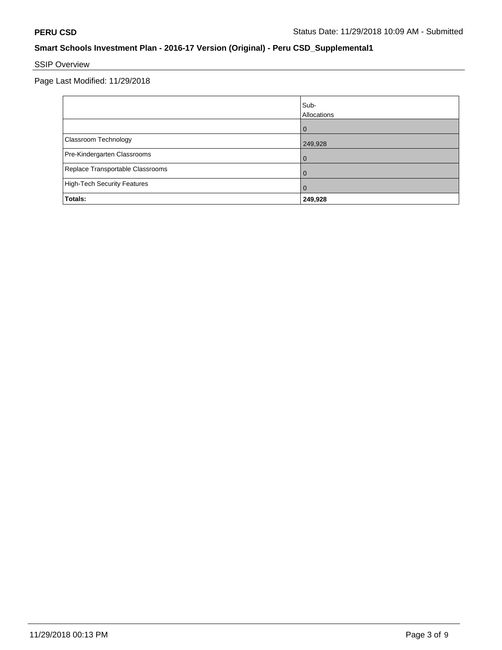# SSIP Overview

Page Last Modified: 11/29/2018

|                                    | Sub-<br>Allocations |
|------------------------------------|---------------------|
|                                    | $\Omega$            |
| Classroom Technology               | 249,928             |
| Pre-Kindergarten Classrooms        | 0                   |
| Replace Transportable Classrooms   | 0                   |
| <b>High-Tech Security Features</b> | O                   |
| Totals:                            | 249,928             |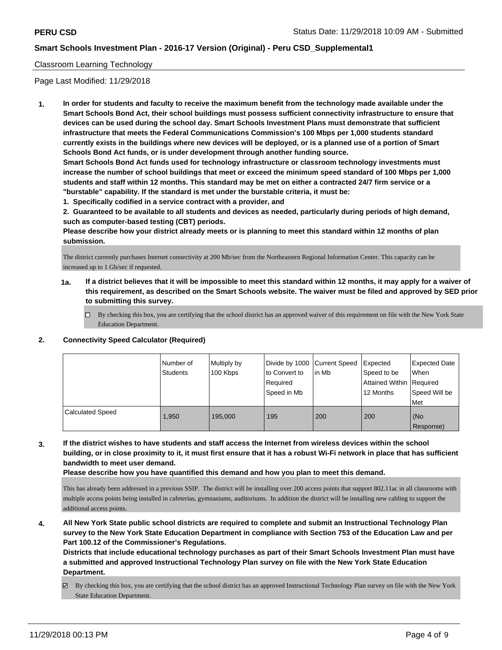## Classroom Learning Technology

Page Last Modified: 11/29/2018

**1. In order for students and faculty to receive the maximum benefit from the technology made available under the Smart Schools Bond Act, their school buildings must possess sufficient connectivity infrastructure to ensure that devices can be used during the school day. Smart Schools Investment Plans must demonstrate that sufficient infrastructure that meets the Federal Communications Commission's 100 Mbps per 1,000 students standard currently exists in the buildings where new devices will be deployed, or is a planned use of a portion of Smart Schools Bond Act funds, or is under development through another funding source.**

**Smart Schools Bond Act funds used for technology infrastructure or classroom technology investments must increase the number of school buildings that meet or exceed the minimum speed standard of 100 Mbps per 1,000 students and staff within 12 months. This standard may be met on either a contracted 24/7 firm service or a "burstable" capability. If the standard is met under the burstable criteria, it must be:**

**1. Specifically codified in a service contract with a provider, and**

**2. Guaranteed to be available to all students and devices as needed, particularly during periods of high demand, such as computer-based testing (CBT) periods.**

**Please describe how your district already meets or is planning to meet this standard within 12 months of plan submission.**

The district currently purchases Internet connectivity at 200 Mb/sec from the Northeastern Regional Information Center. This capacity can be increased up to 1 Gb/sec if requested.

- **1a. If a district believes that it will be impossible to meet this standard within 12 months, it may apply for a waiver of this requirement, as described on the Smart Schools website. The waiver must be filed and approved by SED prior to submitting this survey.**
	- By checking this box, you are certifying that the school district has an approved waiver of this requirement on file with the New York State Education Department.

#### **2. Connectivity Speed Calculator (Required)**

|                         | Number of<br><b>Students</b> | Multiply by<br>100 Kbps | Divide by 1000 Current Speed<br>to Convert to<br>Required<br>Speed in Mb | l in Mb | Expected<br>Speed to be<br>Attained Within   Required<br>12 Months | <b>Expected Date</b><br>When<br>Speed Will be<br>Met |
|-------------------------|------------------------------|-------------------------|--------------------------------------------------------------------------|---------|--------------------------------------------------------------------|------------------------------------------------------|
| <b>Calculated Speed</b> | 1.950                        | 195.000                 | 195                                                                      | 200     | 200                                                                | (No<br>Response)                                     |

**3. If the district wishes to have students and staff access the Internet from wireless devices within the school building, or in close proximity to it, it must first ensure that it has a robust Wi-Fi network in place that has sufficient bandwidth to meet user demand.**

**Please describe how you have quantified this demand and how you plan to meet this demand.**

This has already been addressed in a previous SSIP. The district will be installing over 200 access points that support 802.11ac in all classrooms with multiple access points being installed in cafeterias, gymnasiums, auditoriums. In addition the district will be installing new cabling to support the additional access points.

**4. All New York State public school districts are required to complete and submit an Instructional Technology Plan survey to the New York State Education Department in compliance with Section 753 of the Education Law and per Part 100.12 of the Commissioner's Regulations.**

**Districts that include educational technology purchases as part of their Smart Schools Investment Plan must have a submitted and approved Instructional Technology Plan survey on file with the New York State Education Department.**

By checking this box, you are certifying that the school district has an approved Instructional Technology Plan survey on file with the New York State Education Department.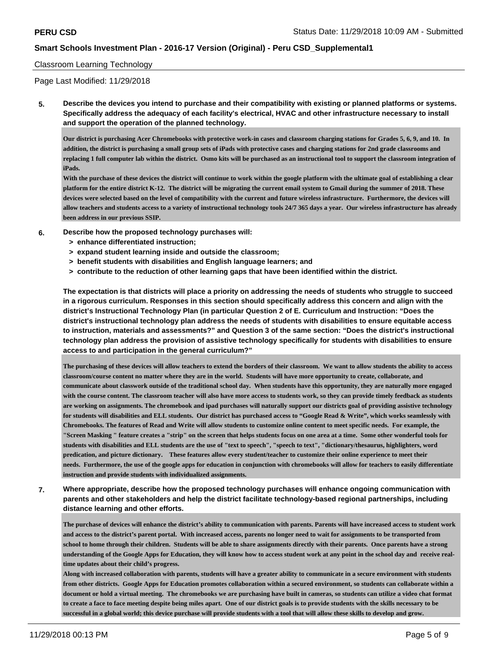#### Classroom Learning Technology

Page Last Modified: 11/29/2018

**5. Describe the devices you intend to purchase and their compatibility with existing or planned platforms or systems. Specifically address the adequacy of each facility's electrical, HVAC and other infrastructure necessary to install and support the operation of the planned technology.**

**Our district is purchasing Acer Chromebooks with protective work-in cases and classroom charging stations for Grades 5, 6, 9, and 10. In addition, the district is purchasing a small group sets of iPads with protective cases and charging stations for 2nd grade classrooms and replacing 1 full computer lab within the district. Osmo kits will be purchased as an instructional tool to support the classroom integration of iPads.**

**With the purchase of these devices the district will continue to work within the google platform with the ultimate goal of establishing a clear platform for the entire district K-12. The district will be migrating the current email system to Gmail during the summer of 2018. These devices were selected based on the level of compatibility with the current and future wireless infrastructure. Furthermore, the devices will allow teachers and students access to a variety of instructional technology tools 24/7 365 days a year. Our wireless infrastructure has already been address in our previous SSIP.**

- **6. Describe how the proposed technology purchases will:**
	- **> enhance differentiated instruction;**
	- **> expand student learning inside and outside the classroom;**
	- **> benefit students with disabilities and English language learners; and**
	- **> contribute to the reduction of other learning gaps that have been identified within the district.**

**The expectation is that districts will place a priority on addressing the needs of students who struggle to succeed in a rigorous curriculum. Responses in this section should specifically address this concern and align with the district's Instructional Technology Plan (in particular Question 2 of E. Curriculum and Instruction: "Does the district's instructional technology plan address the needs of students with disabilities to ensure equitable access to instruction, materials and assessments?" and Question 3 of the same section: "Does the district's instructional technology plan address the provision of assistive technology specifically for students with disabilities to ensure access to and participation in the general curriculum?"**

**The purchasing of these devices will allow teachers to extend the borders of their classroom. We want to allow students the ability to access classroom/course content no matter where they are in the world. Students will have more opportunity to create, collaborate, and communicate about classwork outside of the traditional school day. When students have this opportunity, they are naturally more engaged with the course content. The classroom teacher will also have more access to students work, so they can provide timely feedback as students are working on assignments. The chromebook and ipad purchases will naturally support our districts goal of providing assistive technology for students will disabilities and ELL students. Our district has purchased access to "Google Read & Write", which works seamlessly with Chromebooks. The features of Read and Write will allow students to customize online content to meet specific needs. For example, the "Screen Masking " feature creates a "strip" on the screen that helps students focus on one area at a time. Some other wonderful tools for students with disabilities and ELL students are the use of "text to speech", "speech to text", "dictionary/thesaurus, highlighters, word predication, and picture dictionary. These features allow every student/teacher to customize their online experience to meet their needs. Furthermore, the use of the google apps for education in conjunction with chromebooks will allow for teachers to easily differentiate instruction and provide students with individualized assignments.**

**7. Where appropriate, describe how the proposed technology purchases will enhance ongoing communication with parents and other stakeholders and help the district facilitate technology-based regional partnerships, including distance learning and other efforts.**

**The purchase of devices will enhance the district's ability to communication with parents. Parents will have increased access to student work and access to the district's parent portal. With increased access, parents no longer need to wait for assignments to be transported from school to home through their children. Students will be able to share assignments directly with their parents. Once parents have a strong understanding of the Google Apps for Education, they will know how to access student work at any point in the school day and receive realtime updates about their child's progress.** 

**Along with increased collaboration with parents, students will have a greater ability to communicate in a secure environment with students from other districts. Google Apps for Education promotes collaboration within a secured environment, so students can collaborate within a document or hold a virtual meeting. The chromebooks we are purchasing have built in cameras, so students can utilize a video chat format to create a face to face meeting despite being miles apart. One of our district goals is to provide students with the skills necessary to be successful in a global world; this device purchase will provide students with a tool that will allow these skills to develop and grow.**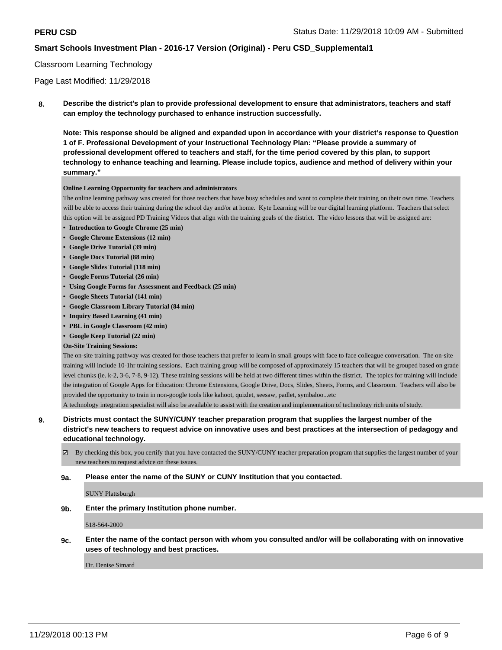## Classroom Learning Technology

Page Last Modified: 11/29/2018

**8. Describe the district's plan to provide professional development to ensure that administrators, teachers and staff can employ the technology purchased to enhance instruction successfully.**

**Note: This response should be aligned and expanded upon in accordance with your district's response to Question 1 of F. Professional Development of your Instructional Technology Plan: "Please provide a summary of professional development offered to teachers and staff, for the time period covered by this plan, to support technology to enhance teaching and learning. Please include topics, audience and method of delivery within your summary."**

#### **Online Learning Opportunity for teachers and administrators**

The online learning pathway was created for those teachers that have busy schedules and want to complete their training on their own time. Teachers will be able to access their training during the school day and/or at home. Kyte Learning will be our digital learning platform. Teachers that select this option will be assigned PD Training Videos that align with the training goals of the district. The video lessons that will be assigned are:

- **• Introduction to Google Chrome (25 min)**
- **• Google Chrome Extensions (12 min)**
- **• Google Drive Tutorial (39 min)**
- **• Google Docs Tutorial (88 min)**
- **• Google Slides Tutorial (118 min)**
- **• Google Forms Tutorial (26 min)**
- **• Using Google Forms for Assessment and Feedback (25 min)**
- **• Google Sheets Tutorial (141 min)**
- **• Google Classroom Library Tutorial (84 min)**
- **• Inquiry Based Learning (41 min)**
- **• PBL in Google Classroom (42 min)**
- **• Google Keep Tutorial (22 min)**
- **On-Site Training Sessions:**

The on-site training pathway was created for those teachers that prefer to learn in small groups with face to face colleague conversation. The on-site training will include 10-1hr training sessions. Each training group will be composed of approximately 15 teachers that will be grouped based on grade level chunks (ie. k-2, 3-6, 7-8, 9-12). These training sessions will be held at two different times within the district. The topics for training will include the integration of Google Apps for Education: Chrome Extensions, Google Drive, Docs, Slides, Sheets, Forms, and Classroom. Teachers will also be provided the opportunity to train in non-google tools like kahoot, quizlet, seesaw, padlet, symbaloo...etc

A technology integration specialist will also be available to assist with the creation and implementation of technology rich units of study.

**9. Districts must contact the SUNY/CUNY teacher preparation program that supplies the largest number of the district's new teachers to request advice on innovative uses and best practices at the intersection of pedagogy and educational technology.**

 $\boxtimes$  By checking this box, you certify that you have contacted the SUNY/CUNY teacher preparation program that supplies the largest number of your new teachers to request advice on these issues.

## **9a. Please enter the name of the SUNY or CUNY Institution that you contacted.**

SUNY Plattsburgh

**9b. Enter the primary Institution phone number.**

518-564-2000

**9c. Enter the name of the contact person with whom you consulted and/or will be collaborating with on innovative uses of technology and best practices.**

Dr. Denise Simard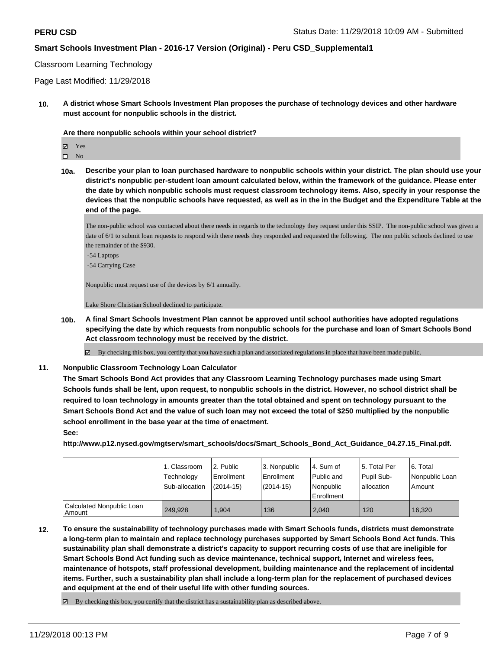#### Classroom Learning Technology

Page Last Modified: 11/29/2018

**10. A district whose Smart Schools Investment Plan proposes the purchase of technology devices and other hardware must account for nonpublic schools in the district.**

#### **Are there nonpublic schools within your school district?**

 $\square$  No

**10a. Describe your plan to loan purchased hardware to nonpublic schools within your district. The plan should use your district's nonpublic per-student loan amount calculated below, within the framework of the guidance. Please enter the date by which nonpublic schools must request classroom technology items. Also, specify in your response the devices that the nonpublic schools have requested, as well as in the in the Budget and the Expenditure Table at the end of the page.**

The non-public school was contacted about there needs in regards to the technology they request under this SSIP. The non-public school was given a date of 6/1 to submit loan requests to respond with there needs they responded and requested the following. The non public schools declined to use the remainder of the \$930.

- -54 Laptops
- -54 Carrying Case

Nonpublic must request use of the devices by 6/1 annually.

Lake Shore Christian School declined to participate.

**10b. A final Smart Schools Investment Plan cannot be approved until school authorities have adopted regulations specifying the date by which requests from nonpublic schools for the purchase and loan of Smart Schools Bond Act classroom technology must be received by the district.**

 $\boxtimes$  By checking this box, you certify that you have such a plan and associated regulations in place that have been made public.

**11. Nonpublic Classroom Technology Loan Calculator**

**The Smart Schools Bond Act provides that any Classroom Learning Technology purchases made using Smart Schools funds shall be lent, upon request, to nonpublic schools in the district. However, no school district shall be required to loan technology in amounts greater than the total obtained and spent on technology pursuant to the Smart Schools Bond Act and the value of such loan may not exceed the total of \$250 multiplied by the nonpublic school enrollment in the base year at the time of enactment. See:**

**http://www.p12.nysed.gov/mgtserv/smart\_schools/docs/Smart\_Schools\_Bond\_Act\_Guidance\_04.27.15\_Final.pdf.**

|                                     | 1. Classroom<br>Technology<br>Sub-allocation | 12. Public<br>Enrollment<br>(2014-15) | 3. Nonpublic<br>Enrollment<br>(2014-15) | l 4. Sum of<br>Public and<br>l Nonpublic<br>l Enrollment | l 5. Total Per<br>Pupil Sub-<br>l allocation | 6. Total<br>Nonpublic Loan<br>Amount |
|-------------------------------------|----------------------------------------------|---------------------------------------|-----------------------------------------|----------------------------------------------------------|----------------------------------------------|--------------------------------------|
| Calculated Nonpublic Loan<br>Amount | 249.928                                      | 1.904                                 | 136                                     | 2,040                                                    | 120                                          | 16.320                               |

**12. To ensure the sustainability of technology purchases made with Smart Schools funds, districts must demonstrate a long-term plan to maintain and replace technology purchases supported by Smart Schools Bond Act funds. This sustainability plan shall demonstrate a district's capacity to support recurring costs of use that are ineligible for Smart Schools Bond Act funding such as device maintenance, technical support, Internet and wireless fees, maintenance of hotspots, staff professional development, building maintenance and the replacement of incidental items. Further, such a sustainability plan shall include a long-term plan for the replacement of purchased devices and equipment at the end of their useful life with other funding sources.**

 $\boxtimes$  By checking this box, you certify that the district has a sustainability plan as described above.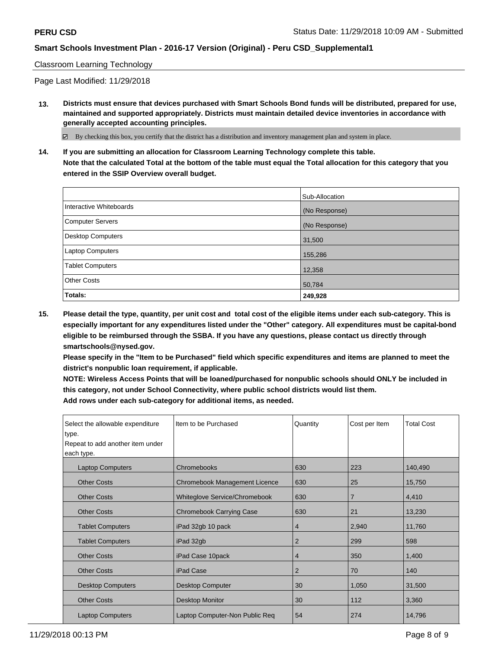## Classroom Learning Technology

Page Last Modified: 11/29/2018

**13. Districts must ensure that devices purchased with Smart Schools Bond funds will be distributed, prepared for use, maintained and supported appropriately. Districts must maintain detailed device inventories in accordance with generally accepted accounting principles.**

By checking this box, you certify that the district has a distribution and inventory management plan and system in place.

**14. If you are submitting an allocation for Classroom Learning Technology complete this table. Note that the calculated Total at the bottom of the table must equal the Total allocation for this category that you entered in the SSIP Overview overall budget.**

|                         | Sub-Allocation |
|-------------------------|----------------|
| Interactive Whiteboards | (No Response)  |
| Computer Servers        | (No Response)  |
| Desktop Computers       | 31,500         |
| <b>Laptop Computers</b> | 155,286        |
| <b>Tablet Computers</b> | 12,358         |
| <b>Other Costs</b>      | 50,784         |
| Totals:                 | 249,928        |

**15. Please detail the type, quantity, per unit cost and total cost of the eligible items under each sub-category. This is especially important for any expenditures listed under the "Other" category. All expenditures must be capital-bond eligible to be reimbursed through the SSBA. If you have any questions, please contact us directly through smartschools@nysed.gov.**

**Please specify in the "Item to be Purchased" field which specific expenditures and items are planned to meet the district's nonpublic loan requirement, if applicable.**

**NOTE: Wireless Access Points that will be loaned/purchased for nonpublic schools should ONLY be included in this category, not under School Connectivity, where public school districts would list them. Add rows under each sub-category for additional items, as needed.**

| Select the allowable expenditure<br>type.<br>Repeat to add another item under<br>each type. | Item to be Purchased            | Quantity | Cost per Item | <b>Total Cost</b> |
|---------------------------------------------------------------------------------------------|---------------------------------|----------|---------------|-------------------|
| <b>Laptop Computers</b>                                                                     | Chromebooks                     | 630      | 223           | 140,490           |
| <b>Other Costs</b>                                                                          | Chromebook Management Licence   | 630      | 25            | 15,750            |
| <b>Other Costs</b>                                                                          | Whiteglove Service/Chromebook   | 630      | 7             | 4,410             |
| <b>Other Costs</b>                                                                          | <b>Chromebook Carrying Case</b> | 630      | 21            | 13,230            |
| <b>Tablet Computers</b>                                                                     | iPad 32gb 10 pack               | 4        | 2,940         | 11,760            |
| <b>Tablet Computers</b>                                                                     | iPad 32gb                       | 2        | 299           | 598               |
| <b>Other Costs</b>                                                                          | iPad Case 10pack                | 4        | 350           | 1,400             |
| <b>Other Costs</b>                                                                          | iPad Case                       | 2        | 70            | 140               |
| <b>Desktop Computers</b>                                                                    | <b>Desktop Computer</b>         | 30       | 1,050         | 31,500            |
| <b>Other Costs</b>                                                                          | Desktop Monitor                 | 30       | 112           | 3,360             |
| <b>Laptop Computers</b>                                                                     | Laptop Computer-Non Public Req  | 54       | 274           | 14,796            |